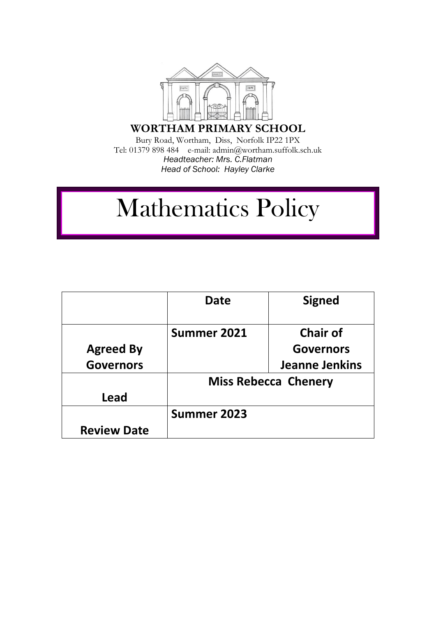

**WORTHAM PRIMARY SCHOOL**

Bury Road, Wortham, Diss, Norfolk IP22 1PX Tel: 01379 898 484 e-mail: admin@wortham.suffolk.sch.uk *Headteacher: Mrs. C.Flatman Head of School: Hayley Clarke* 

# Mathematics Policy

|                    | Date                        | <b>Signed</b>         |
|--------------------|-----------------------------|-----------------------|
|                    |                             |                       |
|                    | Summer 2021                 | <b>Chair of</b>       |
| <b>Agreed By</b>   |                             | <b>Governors</b>      |
| <b>Governors</b>   |                             | <b>Jeanne Jenkins</b> |
|                    | <b>Miss Rebecca Chenery</b> |                       |
| Lead               |                             |                       |
|                    | Summer 2023                 |                       |
| <b>Review Date</b> |                             |                       |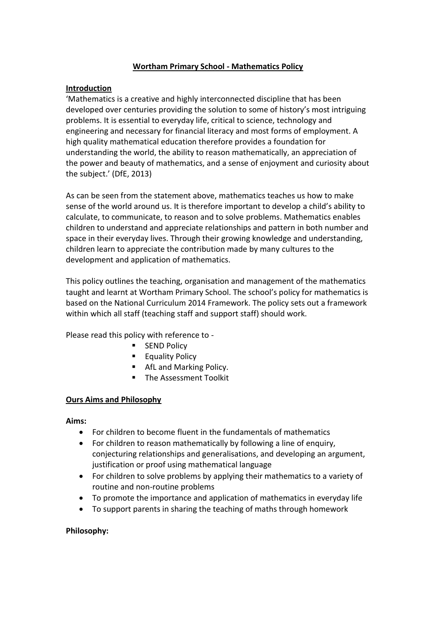## **Wortham Primary School - Mathematics Policy**

## **Introduction**

'Mathematics is a creative and highly interconnected discipline that has been developed over centuries providing the solution to some of history's most intriguing problems. It is essential to everyday life, critical to science, technology and engineering and necessary for financial literacy and most forms of employment. A high quality mathematical education therefore provides a foundation for understanding the world, the ability to reason mathematically, an appreciation of the power and beauty of mathematics, and a sense of enjoyment and curiosity about the subject.' (DfE, 2013)

As can be seen from the statement above, mathematics teaches us how to make sense of the world around us. It is therefore important to develop a child's ability to calculate, to communicate, to reason and to solve problems. Mathematics enables children to understand and appreciate relationships and pattern in both number and space in their everyday lives. Through their growing knowledge and understanding, children learn to appreciate the contribution made by many cultures to the development and application of mathematics.

This policy outlines the teaching, organisation and management of the mathematics taught and learnt at Wortham Primary School. The school's policy for mathematics is based on the National Curriculum 2014 Framework. The policy sets out a framework within which all staff (teaching staff and support staff) should work.

Please read this policy with reference to -

- **SEND Policy**
- **Equality Policy**
- AfL and Marking Policy.
- **The Assessment Toolkit**

## **Ours Aims and Philosophy**

## **Aims:**

- For children to become fluent in the fundamentals of mathematics
- For children to reason mathematically by following a line of enquiry, conjecturing relationships and generalisations, and developing an argument, justification or proof using mathematical language
- For children to solve problems by applying their mathematics to a variety of routine and non-routine problems
- To promote the importance and application of mathematics in everyday life
- To support parents in sharing the teaching of maths through homework

## **Philosophy:**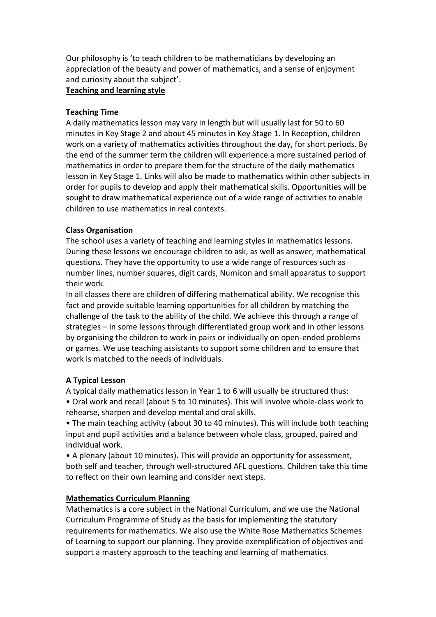Our philosophy is 'to teach children to be mathematicians by developing an appreciation of the beauty and power of mathematics, and a sense of enjoyment and curiosity about the subject'.

#### **Teaching and learning style**

#### **Teaching Time**

A daily mathematics lesson may vary in length but will usually last for 50 to 60 minutes in Key Stage 2 and about 45 minutes in Key Stage 1. In Reception, children work on a variety of mathematics activities throughout the day, for short periods. By the end of the summer term the children will experience a more sustained period of mathematics in order to prepare them for the structure of the daily mathematics lesson in Key Stage 1. Links will also be made to mathematics within other subjects in order for pupils to develop and apply their mathematical skills. Opportunities will be sought to draw mathematical experience out of a wide range of activities to enable children to use mathematics in real contexts.

## **Class Organisation**

The school uses a variety of teaching and learning styles in mathematics lessons. During these lessons we encourage children to ask, as well as answer, mathematical questions. They have the opportunity to use a wide range of resources such as number lines, number squares, digit cards, Numicon and small apparatus to support their work.

In all classes there are children of differing mathematical ability. We recognise this fact and provide suitable learning opportunities for all children by matching the challenge of the task to the ability of the child. We achieve this through a range of strategies – in some lessons through differentiated group work and in other lessons by organising the children to work in pairs or individually on open-ended problems or games. We use teaching assistants to support some children and to ensure that work is matched to the needs of individuals.

#### **A Typical Lesson**

A typical daily mathematics lesson in Year 1 to 6 will usually be structured thus:

• Oral work and recall (about 5 to 10 minutes). This will involve whole-class work to rehearse, sharpen and develop mental and oral skills.

• The main teaching activity (about 30 to 40 minutes). This will include both teaching input and pupil activities and a balance between whole class, grouped, paired and individual work.

• A plenary (about 10 minutes). This will provide an opportunity for assessment, both self and teacher, through well-structured AFL questions. Children take this time to reflect on their own learning and consider next steps.

## **Mathematics Curriculum Planning**

Mathematics is a core subject in the National Curriculum, and we use the National Curriculum Programme of Study as the basis for implementing the statutory requirements for mathematics. We also use the White Rose Mathematics Schemes of Learning to support our planning. They provide exemplification of objectives and support a mastery approach to the teaching and learning of mathematics.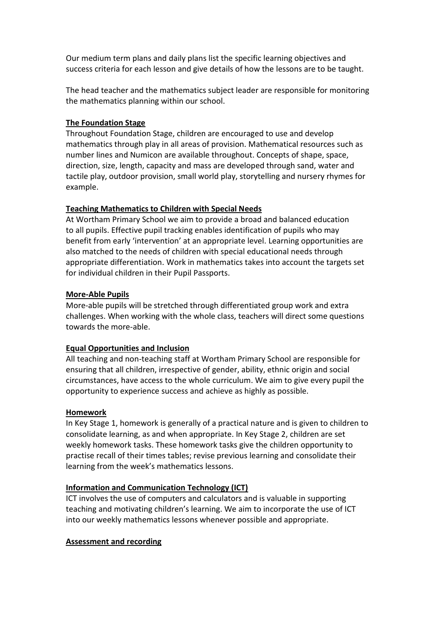Our medium term plans and daily plans list the specific learning objectives and success criteria for each lesson and give details of how the lessons are to be taught.

The head teacher and the mathematics subject leader are responsible for monitoring the mathematics planning within our school.

## **The Foundation Stage**

Throughout Foundation Stage, children are encouraged to use and develop mathematics through play in all areas of provision. Mathematical resources such as number lines and Numicon are available throughout. Concepts of shape, space, direction, size, length, capacity and mass are developed through sand, water and tactile play, outdoor provision, small world play, storytelling and nursery rhymes for example.

## **Teaching Mathematics to Children with Special Needs**

At Wortham Primary School we aim to provide a broad and balanced education to all pupils. Effective pupil tracking enables identification of pupils who may benefit from early 'intervention' at an appropriate level. Learning opportunities are also matched to the needs of children with special educational needs through appropriate differentiation. Work in mathematics takes into account the targets set for individual children in their Pupil Passports.

## **More-Able Pupils**

More-able pupils will be stretched through differentiated group work and extra challenges. When working with the whole class, teachers will direct some questions towards the more-able.

## **Equal Opportunities and Inclusion**

All teaching and non-teaching staff at Wortham Primary School are responsible for ensuring that all children, irrespective of gender, ability, ethnic origin and social circumstances, have access to the whole curriculum. We aim to give every pupil the opportunity to experience success and achieve as highly as possible.

## **Homework**

In Key Stage 1, homework is generally of a practical nature and is given to children to consolidate learning, as and when appropriate. In Key Stage 2, children are set weekly homework tasks. These homework tasks give the children opportunity to practise recall of their times tables; revise previous learning and consolidate their learning from the week's mathematics lessons.

## **Information and Communication Technology (ICT)**

ICT involves the use of computers and calculators and is valuable in supporting teaching and motivating children's learning. We aim to incorporate the use of ICT into our weekly mathematics lessons whenever possible and appropriate.

## **Assessment and recording**